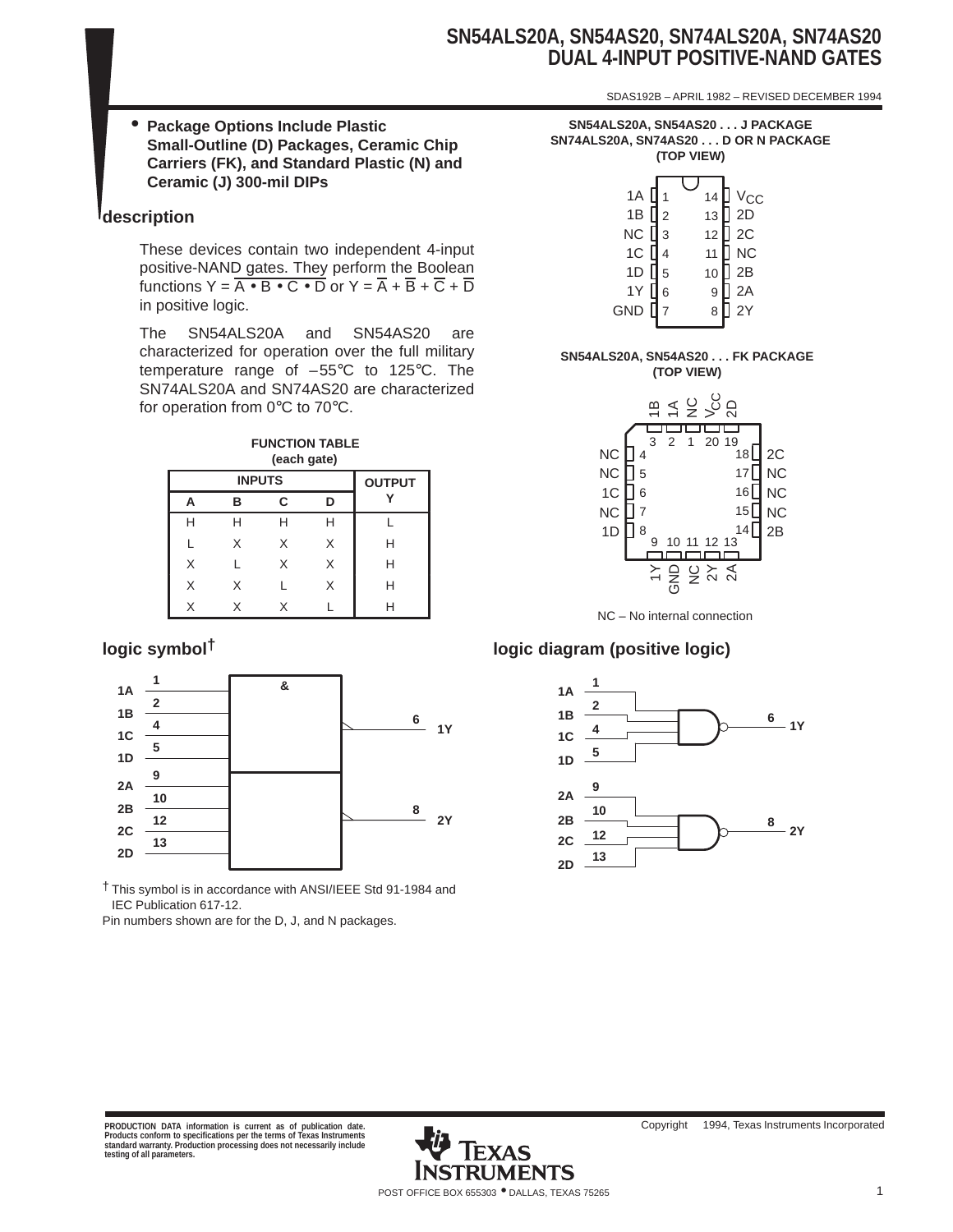# **SN54ALS20A, SN54AS20, SN74ALS20A, SN74AS20 DUAL 4-INPUT POSITIVE-NAND GATES**

SDAS192B – APRIL 1982 – REVISED DECEMBER 1994

• **Package Options Include Plastic Small-Outline (D) Packages, Ceramic Chip Carriers (FK), and Standard Plastic (N) and Ceramic (J) 300-mil DIPs**

# **description**

These devices contain two independent 4-input positive-NAND gates. They perform the Boolean functions  $Y = \overline{A \cdot B \cdot C \cdot D}$  or  $Y = \overline{A} + \overline{B} + \overline{C} + \overline{D}$ in positive logic.

The SN54ALS20A and SN54AS20 are characterized for operation over the full military temperature range of –55°C to 125°C. The SN74ALS20A and SN74AS20 are characterized for operation from 0°C to 70°C.



|   | <b>INPUTS</b> |   |   |   |  |  |
|---|---------------|---|---|---|--|--|
|   | в             | C | n |   |  |  |
| Н | н             | н | н |   |  |  |
|   | X             | X | X | H |  |  |
| X |               | X | X | Н |  |  |
| X | X             |   | X | н |  |  |
| X | x             | x |   | ⊔ |  |  |



† This symbol is in accordance with ANSI/IEEE Std 91-1984 and IEC Publication 617-12.

Pin numbers shown are for the D, J, and N packages.

| SN54ALS20A, SN54AS20 J PACKAGE      |
|-------------------------------------|
| SN74ALS20A, SN74AS20 D OR N PACKAGE |
| (TOP VIEW)                          |

| 1A <b>[</b><br>NC $\prod$ 3<br>1C [ | $\overline{1}$<br>1B $\prod$ <sub>2</sub><br>l 4 | 14<br>13<br>12<br>11 | ] V <sub>CC</sub><br>] 2D<br>$\mathsf{D}$ 2C<br>$\frac{1}{2}$ NC<br>$\frac{1}{2}$ 2B |
|-------------------------------------|--------------------------------------------------|----------------------|--------------------------------------------------------------------------------------|
|                                     | 1D $\sqrt{5}$                                    | 10 <sub>1</sub>      |                                                                                      |
| 1Y [<br>$GND$ $[]$                  | $\,$ 6 $\,$<br>$\overline{7}$                    | 9                    | $2A$<br>$2Y$                                                                         |
|                                     |                                                  | 8                    |                                                                                      |

#### **SN54ALS20A, SN54AS20 . . . FK PACKAGE (TOP VIEW)**



# **logic symbol† logic diagram (positive logic)**

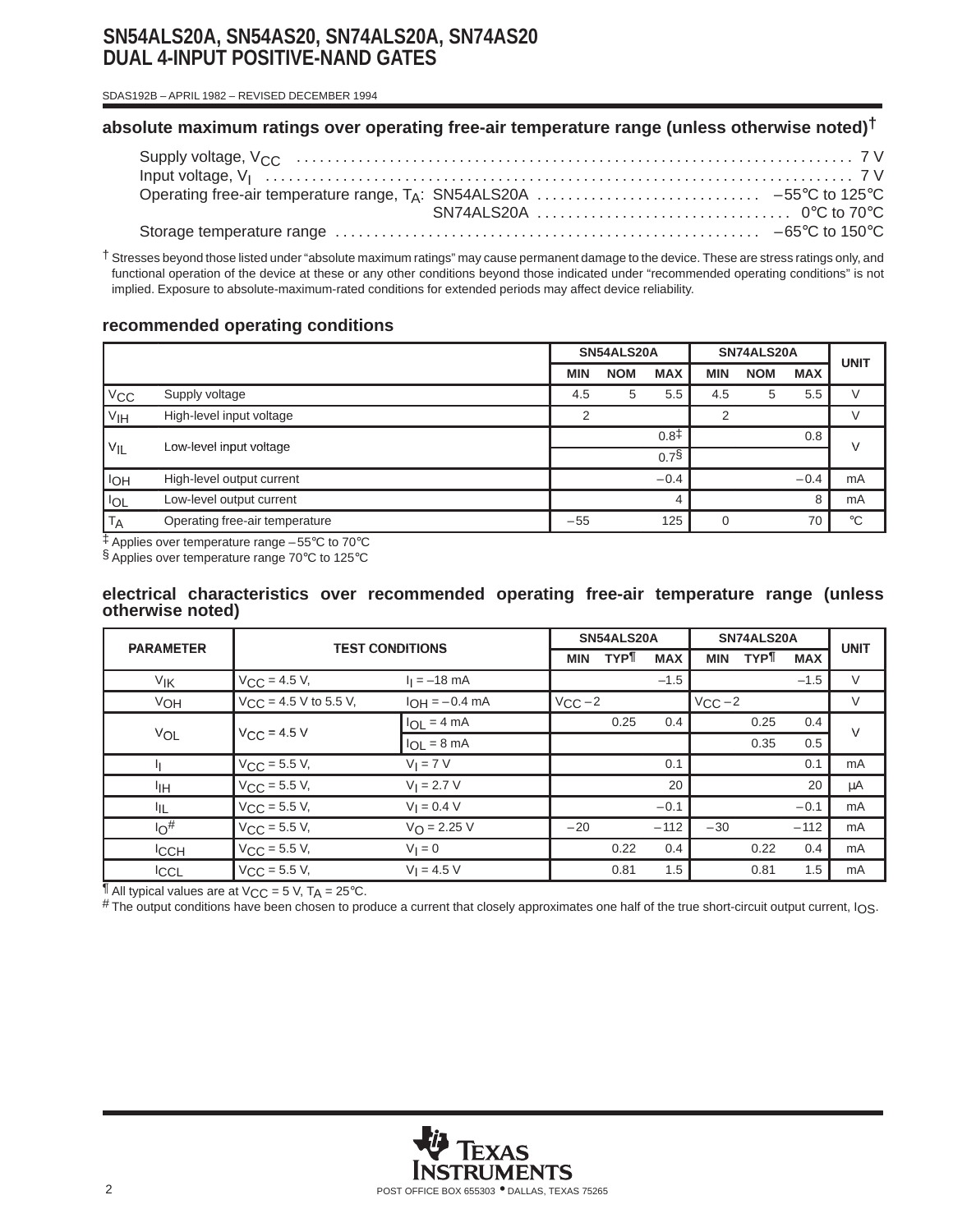# **SN54ALS20A, SN54AS20, SN74ALS20A, SN74AS20 DUAL 4-INPUT POSITIVE-NAND GATES**

 SDAS192B – APRIL 1982 – REVISED DECEMBER 1994

# **absolute maximum ratings over operating free-air temperature range (unless otherwise noted)†**

† Stresses beyond those listed under "absolute maximum ratings" may cause permanent damage to the device. These are stress ratings only, and functional operation of the device at these or any other conditions beyond those indicated under "recommended operating conditions" is not implied. Exposure to absolute-maximum-rated conditions for extended periods may affect device reliability.

# **recommended operating conditions**

|                       |                                | SN54ALS20A |            | SN74ALS20A       |            |            | <b>UNIT</b> |             |
|-----------------------|--------------------------------|------------|------------|------------------|------------|------------|-------------|-------------|
|                       |                                | <b>MIN</b> | <b>NOM</b> | <b>MAX</b>       | <b>MIN</b> | <b>NOM</b> | <b>MAX</b>  |             |
| V <sub>CC</sub>       | Supply voltage                 | 4.5        | 5          | 5.5              | 4.5        | 5          | 5.5         |             |
| V <sub>IH</sub>       | High-level input voltage       | 2          |            |                  | 2          |            |             |             |
|                       | Low-level input voltage        |            |            | $0.8^{\ddagger}$ |            |            | 0.8         | $\vee$      |
| $V_{IL}$              |                                |            |            | $0.7\$           |            |            |             |             |
| <b>I<sub>OH</sub></b> | High-level output current      |            |            | $-0.4$           |            |            | $-0.4$      | mA          |
| <b>IOL</b>            | Low-level output current       |            |            |                  |            |            | 8           | mA          |
| <b>TA</b>             | Operating free-air temperature | $-55$      |            | 125              | O          |            | 70          | $^{\circ}C$ |

‡ Applies over temperature range –55°C to 70°C

§ Applies over temperature range 70°C to 125°C

## **electrical characteristics over recommended operating free-air temperature range (unless otherwise noted)**

|                  | <b>PARAMETER</b><br><b>TEST CONDITIONS</b> |                         |             | SN54ALS20A |            | SN74ALS20A  | <b>UNIT</b> |            |        |
|------------------|--------------------------------------------|-------------------------|-------------|------------|------------|-------------|-------------|------------|--------|
|                  |                                            |                         | <b>MIN</b>  | <b>TYP</b> | <b>MAX</b> | <b>MIN</b>  | <b>TYP</b>  | <b>MAX</b> |        |
| V <sub>IK</sub>  | $V_{CC} = 4.5 V,$                          | $I_1 = -18$ mA          |             |            | $-1.5$     |             |             | $-1.5$     | $\vee$ |
| VOH              | $V_{CC}$ = 4.5 V to 5.5 V,                 | $I_{OH} = -0.4$ mA      | $V_{CC}$ -2 |            |            | $V_{CC}$ -2 |             |            | V      |
|                  | $V_{\text{CC}} = 4.5 \text{ V}$            | $I_{OL} = 4 mA$         |             | 0.25       | 0.4        |             | 0.25        | 0.4        | $\vee$ |
| VOL              |                                            | $I_{OL} = 8 \text{ mA}$ |             |            |            |             | 0.35        | 0.5        |        |
|                  | $V_{CC}$ = 5.5 V,                          | $V_I = 7 V$             |             |            | 0.1        |             |             | 0.1        | mA     |
| ŀщ               | $V_{\text{CC}} = 5.5 V,$                   | $V_1 = 2.7 V$           |             |            | 20         |             |             | 20         | μA     |
| ЧL.              | $V_{\text{CC}} = 5.5 V,$                   | $V_1 = 0.4 V$           |             |            | $-0.1$     |             |             | $-0.1$     | mA     |
| $10^{\#}$        | $V_{\text{CC}} = 5.5 V,$                   | $V_{\text{O}} = 2.25 V$ | $-20$       |            | $-112$     | $-30$       |             | $-112$     | mA     |
| <sup>I</sup> CCH | $V_{CC}$ = 5.5 V,                          | $V_1 = 0$               |             | 0.22       | 0.4        |             | 0.22        | 0.4        | mA     |
| <b>ICCL</b>      | $V_{CC}$ = 5.5 V,                          | $V_1 = 4.5 V$           |             | 0.81       | 1.5        |             | 0.81        | 1.5        | mA     |

 $\P$  All typical values are at  $V_{CC}$  = 5 V, T<sub>A</sub> = 25°C.

# The output conditions have been chosen to produce a current that closely approximates one half of the true short-circuit output current, I<sub>OS</sub>.

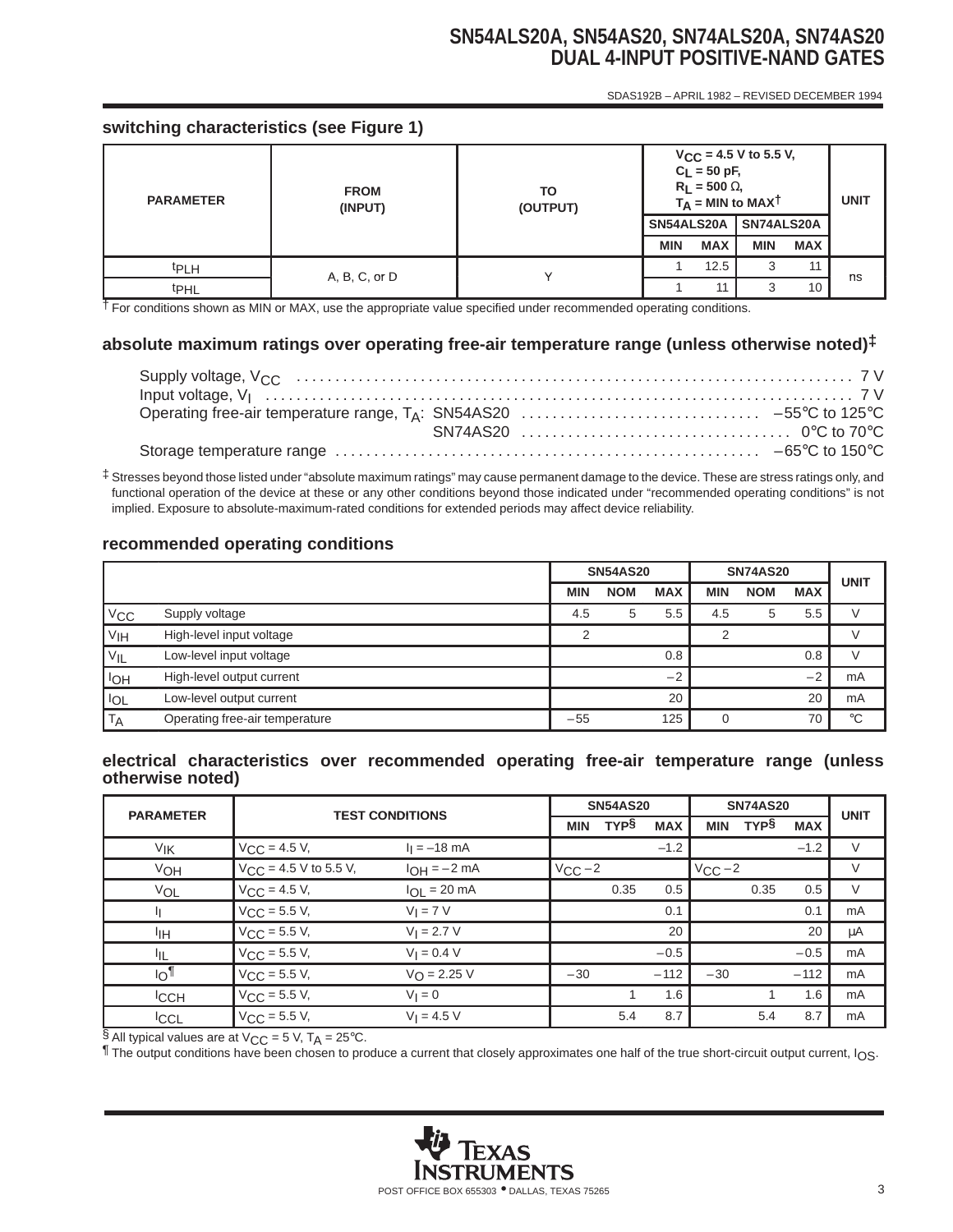# **SN54ALS20A, SN54AS20, SN74ALS20A, SN74AS20 DUAL 4-INPUT POSITIVE-NAND GATES** SDAS192B – APRIL 1982 – REVISED DECEMBER 1994

# **switching characteristics (see Figure 1)**

| <b>PARAMETER</b> | <b>FROM</b><br>(INPUT) | TO<br>(OUTPUT) | $V_{CC}$ = 4.5 V to 5.5 V,<br>$C_L = 50$ pF,<br>$R_L$ = 500 $\Omega$ ,<br>$T_A$ = MIN to MAXT |            |            |            | <b>UNIT</b> |
|------------------|------------------------|----------------|-----------------------------------------------------------------------------------------------|------------|------------|------------|-------------|
|                  |                        |                | SN54ALS20A                                                                                    |            | SN74ALS20A |            |             |
|                  |                        |                | <b>MIN</b>                                                                                    | <b>MAX</b> | <b>MIN</b> | <b>MAX</b> |             |
| <sup>t</sup> PLH | A, B, C, or D          |                |                                                                                               | 12.5       | 3          | 11         |             |
| t <sub>PHL</sub> |                        |                |                                                                                               | 11         | 3          | 10         | ns          |

† For conditions shown as MIN or MAX, use the appropriate value specified under recommended operating conditions.

# **absolute maximum ratings over operating free-air temperature range (unless otherwise noted)‡**

‡ Stresses beyond those listed under "absolute maximum ratings" may cause permanent damage to the device. These are stress ratings only, and functional operation of the device at these or any other conditions beyond those indicated under "recommended operating conditions" is not implied. Exposure to absolute-maximum-rated conditions for extended periods may affect device reliability.

# **recommended operating conditions**

|                 |                                | <b>SN54AS20</b> |            | <b>SN74AS20</b> | <b>UNIT</b> |            |            |             |
|-----------------|--------------------------------|-----------------|------------|-----------------|-------------|------------|------------|-------------|
|                 |                                | <b>MIN</b>      | <b>NOM</b> | <b>MAX</b>      | <b>MIN</b>  | <b>NOM</b> | <b>MAX</b> |             |
| $V_{\rm CC}$    | Supply voltage                 | 4.5             | 5          | 5.5             | 4.5         | 5          | 5.5        |             |
| V <sub>IH</sub> | High-level input voltage       |                 |            |                 |             |            |            |             |
| $V_{IL}$        | Low-level input voltage        |                 |            | 0.8             |             |            | 0.8        |             |
| <b>IOH</b>      | High-level output current      |                 |            | $-2$            |             |            | $-2$       | mA          |
| <b>IOL</b>      | Low-level output current       |                 |            | 20              |             |            | 20         | mA          |
| T <sub>A</sub>  | Operating free-air temperature | $-55$           |            | 125             | ი           |            | 70         | $^{\circ}C$ |

## **electrical characteristics over recommended operating free-air temperature range (unless otherwise noted)**

|                  | <b>TEST CONDITIONS</b><br><b>PARAMETER</b> |                         |             | <b>SN54AS20</b> |            | <b>SN74AS20</b> | <b>UNIT</b> |            |        |
|------------------|--------------------------------------------|-------------------------|-------------|-----------------|------------|-----------------|-------------|------------|--------|
|                  |                                            |                         | <b>MIN</b>  | <b>TYPS</b>     | <b>MAX</b> | <b>MIN</b>      | <b>TYPS</b> | <b>MAX</b> |        |
| V <sub>IK</sub>  | $V_{\text{CC}} = 4.5 V,$                   | $I_1 = -18$ mA          |             |                 | $-1.2$     |                 |             | $-1.2$     | V      |
| VOH              | $V_{CC}$ = 4.5 V to 5.5 V,                 | $I_{OH} = -2 mA$        | $V_{CC}$ -2 |                 |            | $V_{CC}$ -2     |             |            | V      |
| VOL              | $V_{\text{CC}} = 4.5 V,$                   | $I_{OL}$ = 20 mA        |             | 0.35            | 0.5        |                 | 0.35        | 0.5        | $\vee$ |
|                  | $V_{\text{CC}} = 5.5 V,$                   | $V_I = 7 V$             |             |                 | 0.1        |                 |             | 0.1        | mA     |
| ŀщ.              | $V_{\text{CC}} = 5.5 V,$                   | $V_1 = 2.7 V$           |             |                 | 20         |                 |             | 20         | μA     |
| III.             | $V_{\text{CC}} = 5.5 V,$                   | $V_1 = 0.4 V$           |             |                 | $-0.5$     |                 |             | $-0.5$     | mA     |
| $\overline{10}$  | $V_{\text{CC}} = 5.5 V,$                   | $V_{\text{O}} = 2.25 V$ | $-30$       |                 | $-112$     | $-30$           |             | $-112$     | mA     |
| <sup>I</sup> CCH | $V_{CC}$ = 5.5 V,                          | $V_1 = 0$               |             |                 | 1.6        |                 |             | 1.6        | mA     |
| <b>ICCL</b>      | $V_{\text{CC}} = 5.5 V,$                   | $V_1 = 4.5 V$           |             | 5.4             | 8.7        |                 | 5.4         | 8.7        | mA     |

§ All typical values are at  $V_{CC} = 5$  V,  $T_A = 25$ °C.

The output conditions have been chosen to produce a current that closely approximates one half of the true short-circuit output current,  $I_{OS}$ .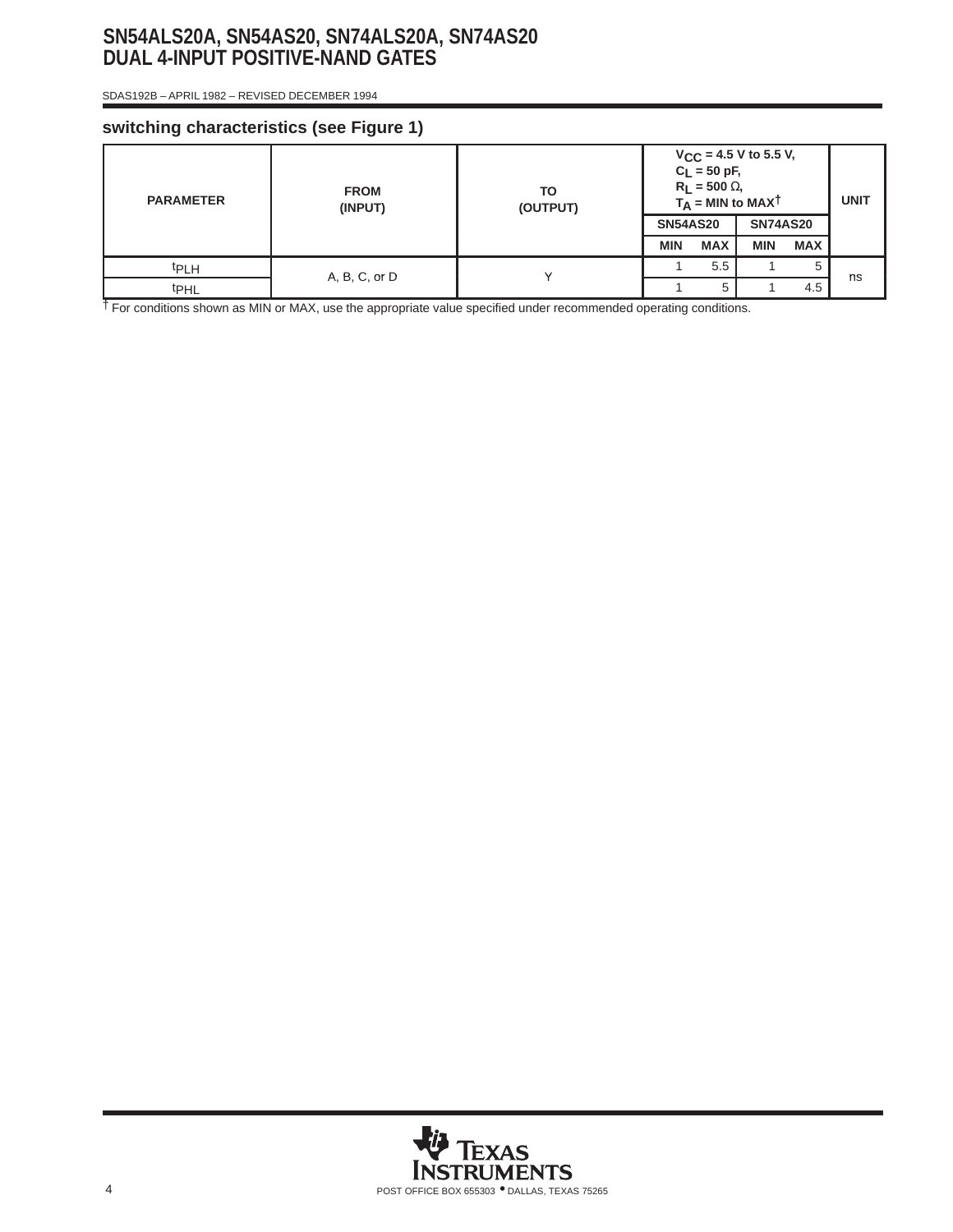# **SN54ALS20A, SN54AS20, SN74ALS20A, SN74AS20 DUAL 4-INPUT POSITIVE-NAND GATES**

 SDAS192B – APRIL 1982 – REVISED DECEMBER 1994

# **switching characteristics (see Figure 1)**

| <b>PARAMETER</b> | <b>FROM</b><br>(INPUT) | TO<br>(OUTPUT) | $V_{CC}$ = 4.5 V to 5.5 V,<br>$C_L = 50 pF,$<br>$R_L$ = 500 $\Omega$ ,<br>$T_A$ = MIN to MAXT | <b>UNIT</b> |                 |            |    |
|------------------|------------------------|----------------|-----------------------------------------------------------------------------------------------|-------------|-----------------|------------|----|
|                  |                        |                | <b>SN54AS20</b>                                                                               |             | <b>SN74AS20</b> |            |    |
|                  |                        |                | <b>MIN</b>                                                                                    | <b>MAX</b>  | <b>MIN</b>      | <b>MAX</b> |    |
| <sup>t</sup> PLH | A, B, C, or D          |                |                                                                                               | 5.5         |                 | 5          | ns |
| t <sub>PHL</sub> |                        |                |                                                                                               | 5           |                 | 4.5        |    |

† For conditions shown as MIN or MAX, use the appropriate value specified under recommended operating conditions.